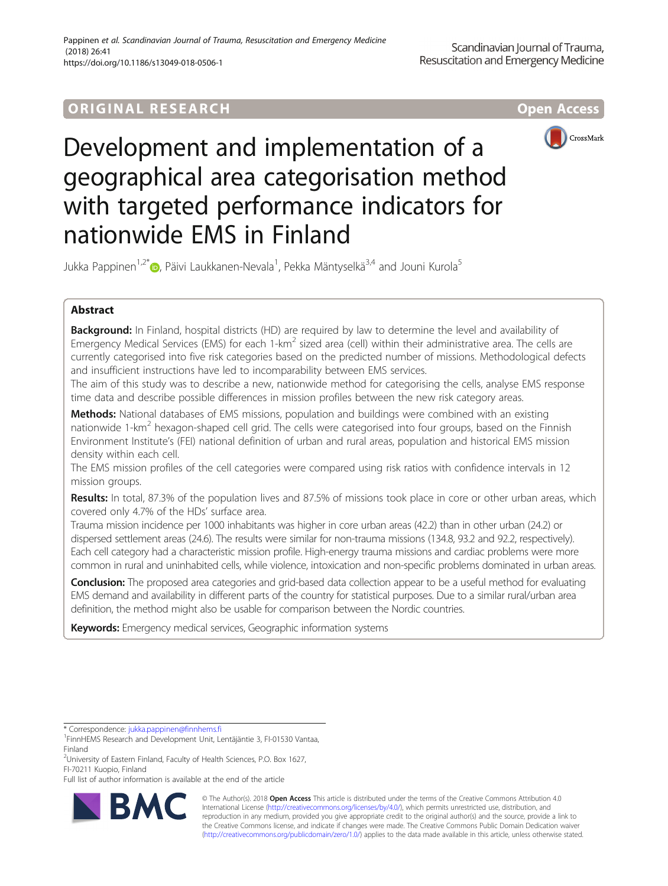# **ORIGINAL RESEARCH AND LOCAL CONSUMING THE CONSUMING OPEN ACCESS**



Development and implementation of a geographical area categorisation method with targeted performance indicators for nationwide EMS in Finland

Jukka Pappinen<sup>1,2\*</sup>®, Päivi Laukkanen-Nevala<sup>1</sup>, Pekka Mäntyselkä<sup>3,4</sup> and Jouni Kurola<sup>5</sup>

## Abstract

Background: In Finland, hospital districts (HD) are required by law to determine the level and availability of Emergency Medical Services (EMS) for each 1- $km^2$  sized area (cell) within their administrative area. The cells are currently categorised into five risk categories based on the predicted number of missions. Methodological defects and insufficient instructions have led to incomparability between EMS services.

The aim of this study was to describe a new, nationwide method for categorising the cells, analyse EMS response time data and describe possible differences in mission profiles between the new risk category areas.

Methods: National databases of EMS missions, population and buildings were combined with an existing nationwide 1-km<sup>2</sup> hexagon-shaped cell grid. The cells were categorised into four groups, based on the Finnish Environment Institute's (FEI) national definition of urban and rural areas, population and historical EMS mission density within each cell.

The EMS mission profiles of the cell categories were compared using risk ratios with confidence intervals in 12 mission groups.

Results: In total, 87.3% of the population lives and 87.5% of missions took place in core or other urban areas, which covered only 4.7% of the HDs' surface area.

Trauma mission incidence per 1000 inhabitants was higher in core urban areas (42.2) than in other urban (24.2) or dispersed settlement areas (24.6). The results were similar for non-trauma missions (134.8, 93.2 and 92.2, respectively). Each cell category had a characteristic mission profile. High-energy trauma missions and cardiac problems were more common in rural and uninhabited cells, while violence, intoxication and non-specific problems dominated in urban areas.

Conclusion: The proposed area categories and grid-based data collection appear to be a useful method for evaluating EMS demand and availability in different parts of the country for statistical purposes. Due to a similar rural/urban area definition, the method might also be usable for comparison between the Nordic countries.

Keywords: Emergency medical services, Geographic information systems

Full list of author information is available at the end of the article



© The Author(s). 2018 Open Access This article is distributed under the terms of the Creative Commons Attribution 4.0 International License [\(http://creativecommons.org/licenses/by/4.0/](http://creativecommons.org/licenses/by/4.0/)), which permits unrestricted use, distribution, and reproduction in any medium, provided you give appropriate credit to the original author(s) and the source, provide a link to the Creative Commons license, and indicate if changes were made. The Creative Commons Public Domain Dedication waiver [\(http://creativecommons.org/publicdomain/zero/1.0/](http://creativecommons.org/publicdomain/zero/1.0/)) applies to the data made available in this article, unless otherwise stated.

<sup>\*</sup> Correspondence: [jukka.pappinen@finnhems.fi](mailto:jukka.pappinen@finnhems.fi) <sup>1</sup>

<sup>&</sup>lt;sup>1</sup> FinnHEMS Research and Development Unit, Lentäjäntie 3, FI-01530 Vantaa, Finland

<sup>&</sup>lt;sup>2</sup>University of Eastern Finland, Faculty of Health Sciences, P.O. Box 1627, FI-70211 Kuopio, Finland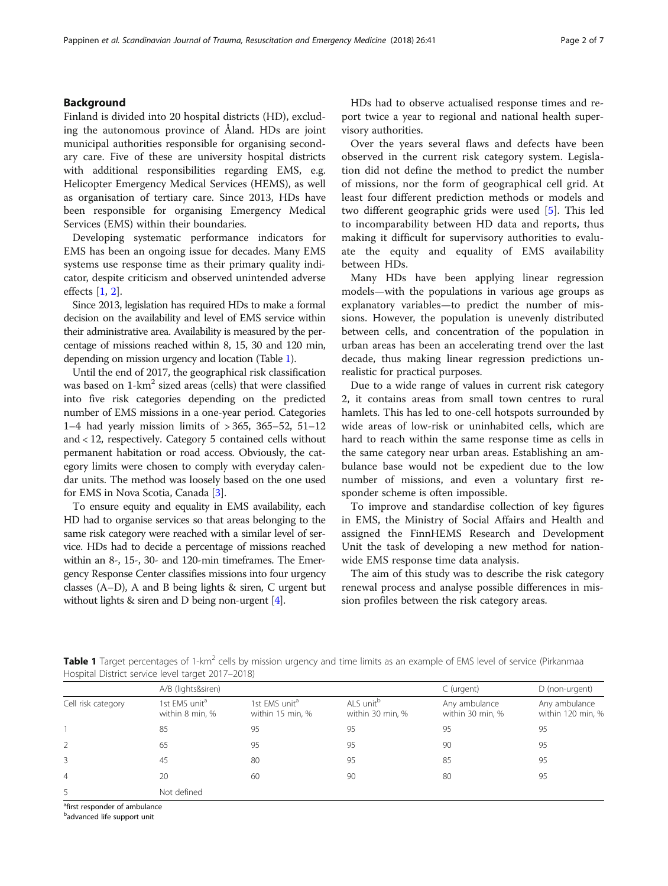## Background

Finland is divided into 20 hospital districts (HD), excluding the autonomous province of Åland. HDs are joint municipal authorities responsible for organising secondary care. Five of these are university hospital districts with additional responsibilities regarding EMS, e.g. Helicopter Emergency Medical Services (HEMS), as well as organisation of tertiary care. Since 2013, HDs have been responsible for organising Emergency Medical Services (EMS) within their boundaries.

Developing systematic performance indicators for EMS has been an ongoing issue for decades. Many EMS systems use response time as their primary quality indicator, despite criticism and observed unintended adverse effects [[1,](#page-6-0) [2\]](#page-6-0).

Since 2013, legislation has required HDs to make a formal decision on the availability and level of EMS service within their administrative area. Availability is measured by the percentage of missions reached within 8, 15, 30 and 120 min, depending on mission urgency and location (Table 1).

Until the end of 2017, the geographical risk classification was based on 1-km2 sized areas (cells) that were classified into five risk categories depending on the predicted number of EMS missions in a one-year period. Categories 1–4 had yearly mission limits of > 365, 365–52, 51–12 and < 12, respectively. Category 5 contained cells without permanent habitation or road access. Obviously, the category limits were chosen to comply with everyday calendar units. The method was loosely based on the one used for EMS in Nova Scotia, Canada [[3\]](#page-6-0).

To ensure equity and equality in EMS availability, each HD had to organise services so that areas belonging to the same risk category were reached with a similar level of service. HDs had to decide a percentage of missions reached within an 8-, 15-, 30- and 120-min timeframes. The Emergency Response Center classifies missions into four urgency classes (A–D), A and B being lights & siren, C urgent but without lights & siren and D being non-urgent [\[4\]](#page-6-0).

HDs had to observe actualised response times and report twice a year to regional and national health supervisory authorities.

Over the years several flaws and defects have been observed in the current risk category system. Legislation did not define the method to predict the number of missions, nor the form of geographical cell grid. At least four different prediction methods or models and two different geographic grids were used [[5\]](#page-6-0). This led to incomparability between HD data and reports, thus making it difficult for supervisory authorities to evaluate the equity and equality of EMS availability between HDs.

Many HDs have been applying linear regression models—with the populations in various age groups as explanatory variables—to predict the number of missions. However, the population is unevenly distributed between cells, and concentration of the population in urban areas has been an accelerating trend over the last decade, thus making linear regression predictions unrealistic for practical purposes.

Due to a wide range of values in current risk category 2, it contains areas from small town centres to rural hamlets. This has led to one-cell hotspots surrounded by wide areas of low-risk or uninhabited cells, which are hard to reach within the same response time as cells in the same category near urban areas. Establishing an ambulance base would not be expedient due to the low number of missions, and even a voluntary first responder scheme is often impossible.

To improve and standardise collection of key figures in EMS, the Ministry of Social Affairs and Health and assigned the FinnHEMS Research and Development Unit the task of developing a new method for nationwide EMS response time data analysis.

The aim of this study was to describe the risk category renewal process and analyse possible differences in mission profiles between the risk category areas.

Table 1 Target percentages of 1-km<sup>2</sup> cells by mission urgency and time limits as an example of EMS level of service (Pirkanmaa Hospital District service level target 2017–2018)

| Cell risk category | A/B (lights&siren)                           |                                               | $C$ (urgent)                              | D (non-urgent)                    |                                    |
|--------------------|----------------------------------------------|-----------------------------------------------|-------------------------------------------|-----------------------------------|------------------------------------|
|                    | 1st EMS unit <sup>a</sup><br>within 8 min, % | 1st EMS unit <sup>a</sup><br>within 15 min, % | ALS unit <sup>b</sup><br>within 30 min, % | Any ambulance<br>within 30 min, % | Any ambulance<br>within 120 min, % |
|                    | 85                                           | 95                                            | 95                                        | 95                                | 95                                 |
|                    | 65                                           | 95                                            | 95                                        | 90                                | 95                                 |
| 3                  | 45                                           | 80                                            | 95                                        | 85                                | 95                                 |
| $\overline{4}$     | 20                                           | 60                                            | 90                                        | 80                                | 95                                 |
| 5                  | Not defined                                  |                                               |                                           |                                   |                                    |

<sup>a</sup>first responder of ambulance

<sup>b</sup>advanced life support unit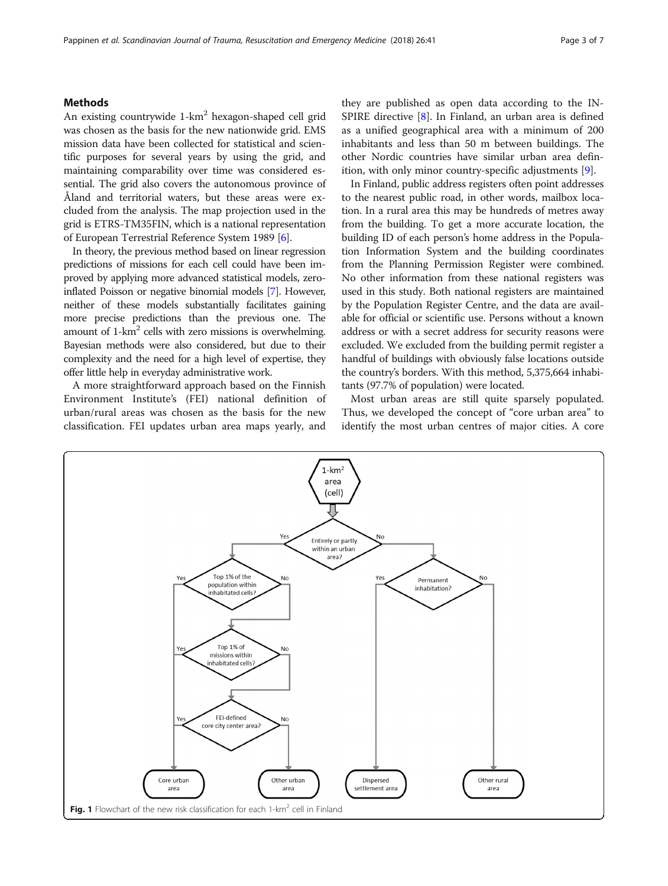## <span id="page-2-0"></span>Methods

An existing countrywide 1-km2 hexagon-shaped cell grid was chosen as the basis for the new nationwide grid. EMS mission data have been collected for statistical and scientific purposes for several years by using the grid, and maintaining comparability over time was considered essential. The grid also covers the autonomous province of Åland and territorial waters, but these areas were excluded from the analysis. The map projection used in the grid is ETRS-TM35FIN, which is a national representation of European Terrestrial Reference System 1989 [\[6](#page-6-0)].

In theory, the previous method based on linear regression predictions of missions for each cell could have been improved by applying more advanced statistical models, zeroinflated Poisson or negative binomial models [\[7\]](#page-6-0). However, neither of these models substantially facilitates gaining more precise predictions than the previous one. The amount of  $1-km^2$  cells with zero missions is overwhelming. Bayesian methods were also considered, but due to their complexity and the need for a high level of expertise, they offer little help in everyday administrative work.

A more straightforward approach based on the Finnish Environment Institute's (FEI) national definition of urban/rural areas was chosen as the basis for the new classification. FEI updates urban area maps yearly, and

they are published as open data according to the IN-SPIRE directive [\[8](#page-6-0)]. In Finland, an urban area is defined as a unified geographical area with a minimum of 200 inhabitants and less than 50 m between buildings. The other Nordic countries have similar urban area definition, with only minor country-specific adjustments [[9](#page-6-0)].

In Finland, public address registers often point addresses to the nearest public road, in other words, mailbox location. In a rural area this may be hundreds of metres away from the building. To get a more accurate location, the building ID of each person's home address in the Population Information System and the building coordinates from the Planning Permission Register were combined. No other information from these national registers was used in this study. Both national registers are maintained by the Population Register Centre, and the data are available for official or scientific use. Persons without a known address or with a secret address for security reasons were excluded. We excluded from the building permit register a handful of buildings with obviously false locations outside the country's borders. With this method, 5,375,664 inhabitants (97.7% of population) were located.

Most urban areas are still quite sparsely populated. Thus, we developed the concept of "core urban area" to identify the most urban centres of major cities. A core

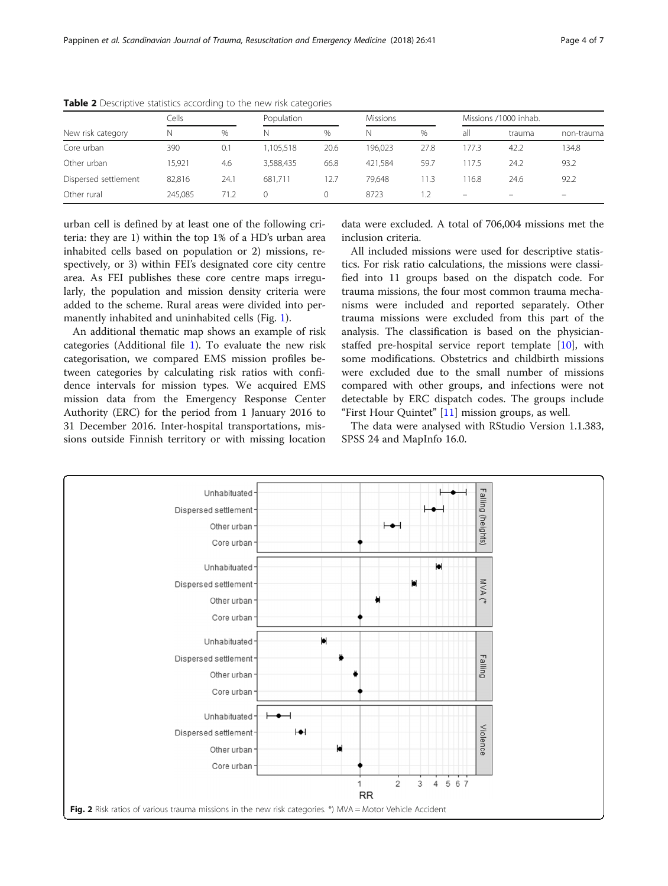|                      | - ellsک |      | Population |          | <b>Missions</b> |      | Missions /1000 inhab. |                            |            |
|----------------------|---------|------|------------|----------|-----------------|------|-----------------------|----------------------------|------------|
| New risk category    | N       | %    |            | $\%$     | N               | %    | all                   | trauma                     | non-trauma |
| Core urban           | 390     | 0.1  | 1,105,518  | 20.6     | 196.023         | 27.8 | 177.3                 | 42.2                       | 134.8      |
| Other urban          | 15.921  | 4.6  | 3,588,435  | 66.8     | 421.584         | 59.7 | 117.5                 | 24.2                       | 93.2       |
| Dispersed settlement | 82,816  | 24.1 | 681.711    | 12.7     | 79.648          | 11.3 | 16.8                  | 24.6                       | 92.2       |
| Other rural          | 245.085 | 71.2 |            | $\Omega$ | 8723            | 1.2  | —                     | $\qquad \qquad \  \  \, -$ | -          |

<span id="page-3-0"></span>Table 2 Descriptive statistics according to the new risk categories

urban cell is defined by at least one of the following criteria: they are 1) within the top 1% of a HD's urban area inhabited cells based on population or 2) missions, respectively, or 3) within FEI's designated core city centre area. As FEI publishes these core centre maps irregularly, the population and mission density criteria were added to the scheme. Rural areas were divided into permanently inhabited and uninhabited cells (Fig. [1\)](#page-2-0).

An additional thematic map shows an example of risk categories (Additional file [1\)](#page-5-0). To evaluate the new risk categorisation, we compared EMS mission profiles between categories by calculating risk ratios with confidence intervals for mission types. We acquired EMS mission data from the Emergency Response Center Authority (ERC) for the period from 1 January 2016 to 31 December 2016. Inter-hospital transportations, missions outside Finnish territory or with missing location

data were excluded. A total of 706,004 missions met the inclusion criteria.

All included missions were used for descriptive statistics. For risk ratio calculations, the missions were classified into 11 groups based on the dispatch code. For trauma missions, the four most common trauma mechanisms were included and reported separately. Other trauma missions were excluded from this part of the analysis. The classification is based on the physicianstaffed pre-hospital service report template [\[10\]](#page-6-0), with some modifications. Obstetrics and childbirth missions were excluded due to the small number of missions compared with other groups, and infections were not detectable by ERC dispatch codes. The groups include "First Hour Quintet" [[11](#page-6-0)] mission groups, as well.

The data were analysed with RStudio Version 1.1.383, SPSS 24 and MapInfo 16.0.

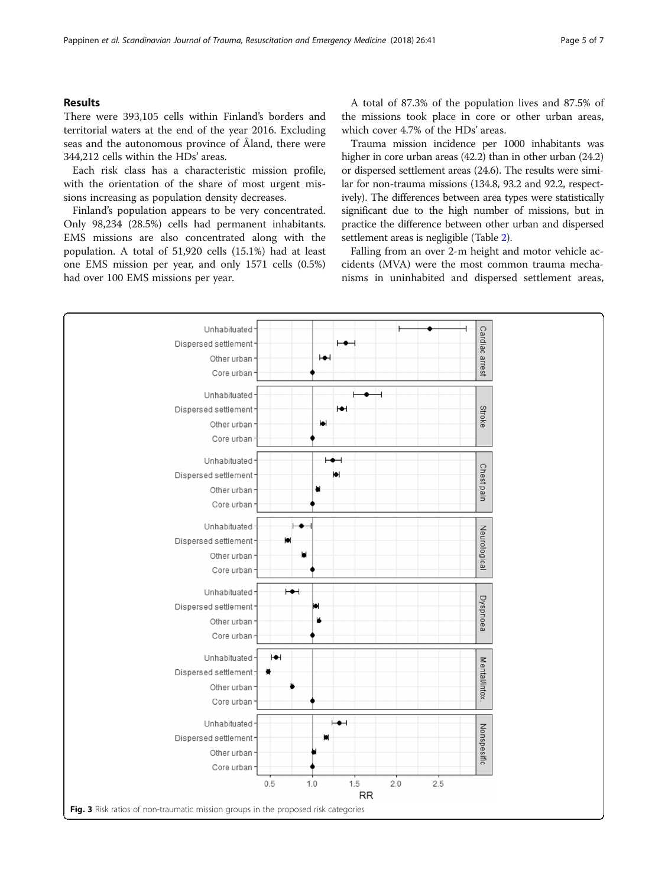## <span id="page-4-0"></span>Results

There were 393,105 cells within Finland's borders and territorial waters at the end of the year 2016. Excluding seas and the autonomous province of Åland, there were 344,212 cells within the HDs' areas.

Each risk class has a characteristic mission profile, with the orientation of the share of most urgent missions increasing as population density decreases.

Finland's population appears to be very concentrated. Only 98,234 (28.5%) cells had permanent inhabitants. EMS missions are also concentrated along with the population. A total of 51,920 cells (15.1%) had at least one EMS mission per year, and only 1571 cells (0.5%) had over 100 EMS missions per year.

A total of 87.3% of the population lives and 87.5% of the missions took place in core or other urban areas, which cover 4.7% of the HDs' areas.

Trauma mission incidence per 1000 inhabitants was higher in core urban areas (42.2) than in other urban (24.2) or dispersed settlement areas (24.6). The results were similar for non-trauma missions (134.8, 93.2 and 92.2, respectively). The differences between area types were statistically significant due to the high number of missions, but in practice the difference between other urban and dispersed settlement areas is negligible (Table [2\)](#page-3-0).

Falling from an over 2-m height and motor vehicle accidents (MVA) were the most common trauma mechanisms in uninhabited and dispersed settlement areas,

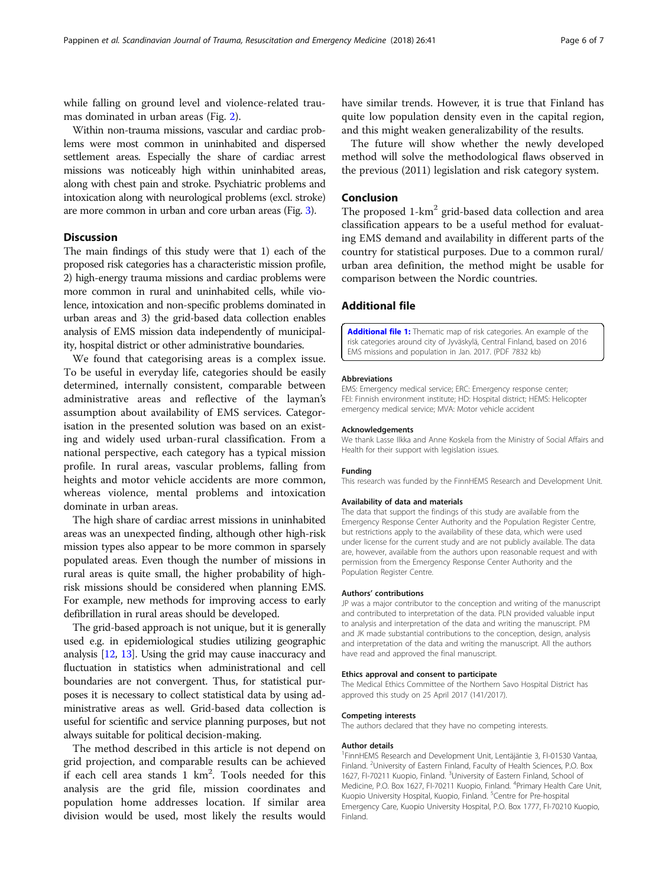<span id="page-5-0"></span>while falling on ground level and violence-related traumas dominated in urban areas (Fig. [2\)](#page-3-0).

Within non-trauma missions, vascular and cardiac problems were most common in uninhabited and dispersed settlement areas. Especially the share of cardiac arrest missions was noticeably high within uninhabited areas, along with chest pain and stroke. Psychiatric problems and intoxication along with neurological problems (excl. stroke) are more common in urban and core urban areas (Fig. [3](#page-4-0)).

## **Discussion**

The main findings of this study were that 1) each of the proposed risk categories has a characteristic mission profile, 2) high-energy trauma missions and cardiac problems were more common in rural and uninhabited cells, while violence, intoxication and non-specific problems dominated in urban areas and 3) the grid-based data collection enables analysis of EMS mission data independently of municipality, hospital district or other administrative boundaries.

We found that categorising areas is a complex issue. To be useful in everyday life, categories should be easily determined, internally consistent, comparable between administrative areas and reflective of the layman's assumption about availability of EMS services. Categorisation in the presented solution was based on an existing and widely used urban-rural classification. From a national perspective, each category has a typical mission profile. In rural areas, vascular problems, falling from heights and motor vehicle accidents are more common, whereas violence, mental problems and intoxication dominate in urban areas.

The high share of cardiac arrest missions in uninhabited areas was an unexpected finding, although other high-risk mission types also appear to be more common in sparsely populated areas. Even though the number of missions in rural areas is quite small, the higher probability of highrisk missions should be considered when planning EMS. For example, new methods for improving access to early defibrillation in rural areas should be developed.

The grid-based approach is not unique, but it is generally used e.g. in epidemiological studies utilizing geographic analysis [\[12,](#page-6-0) [13](#page-6-0)]. Using the grid may cause inaccuracy and fluctuation in statistics when administrational and cell boundaries are not convergent. Thus, for statistical purposes it is necessary to collect statistical data by using administrative areas as well. Grid-based data collection is useful for scientific and service planning purposes, but not always suitable for political decision-making.

The method described in this article is not depend on grid projection, and comparable results can be achieved if each cell area stands 1 km<sup>2</sup>. Tools needed for this analysis are the grid file, mission coordinates and population home addresses location. If similar area division would be used, most likely the results would

have similar trends. However, it is true that Finland has quite low population density even in the capital region, and this might weaken generalizability of the results.

The future will show whether the newly developed method will solve the methodological flaws observed in the previous (2011) legislation and risk category system.

## Conclusion

The proposed  $1-km^2$  grid-based data collection and area classification appears to be a useful method for evaluating EMS demand and availability in different parts of the country for statistical purposes. Due to a common rural/ urban area definition, the method might be usable for comparison between the Nordic countries.

## Additional file

[Additional file 1:](https://doi.org/10.1186/s13049-018-0506-1) Thematic map of risk categories. An example of the risk categories around city of Jyväskylä, Central Finland, based on 2016 EMS missions and population in Jan. 2017. (PDF 7832 kb)

#### Abbreviations

EMS: Emergency medical service; ERC: Emergency response center; FEI: Finnish environment institute; HD: Hospital district; HEMS: Helicopter emergency medical service; MVA: Motor vehicle accident

#### Acknowledgements

We thank Lasse Ilkka and Anne Koskela from the Ministry of Social Affairs and Health for their support with legislation issues.

#### Funding

This research was funded by the FinnHEMS Research and Development Unit.

#### Availability of data and materials

The data that support the findings of this study are available from the Emergency Response Center Authority and the Population Register Centre, but restrictions apply to the availability of these data, which were used under license for the current study and are not publicly available. The data are, however, available from the authors upon reasonable request and with permission from the Emergency Response Center Authority and the Population Register Centre.

#### Authors' contributions

JP was a major contributor to the conception and writing of the manuscript and contributed to interpretation of the data. PLN provided valuable input to analysis and interpretation of the data and writing the manuscript. PM and JK made substantial contributions to the conception, design, analysis and interpretation of the data and writing the manuscript. All the authors have read and approved the final manuscript.

#### Ethics approval and consent to participate

The Medical Ethics Committee of the Northern Savo Hospital District has approved this study on 25 April 2017 (141/2017).

#### Competing interests

The authors declared that they have no competing interests.

#### Author details

<sup>1</sup> FinnHEMS Research and Development Unit, Lentäjäntie 3, FI-01530 Vantaa, Finland. <sup>2</sup>University of Eastern Finland, Faculty of Health Sciences, P.O. Box 1627, FI-70211 Kuopio, Finland. <sup>3</sup>University of Eastern Finland, School of Medicine, P.O. Box 1627, FI-70211 Kuopio, Finland. <sup>4</sup>Primary Health Care Unit, Kuopio University Hospital, Kuopio, Finland. <sup>5</sup> Centre for Pre-hospital Emergency Care, Kuopio University Hospital, P.O. Box 1777, FI-70210 Kuopio, Finland.